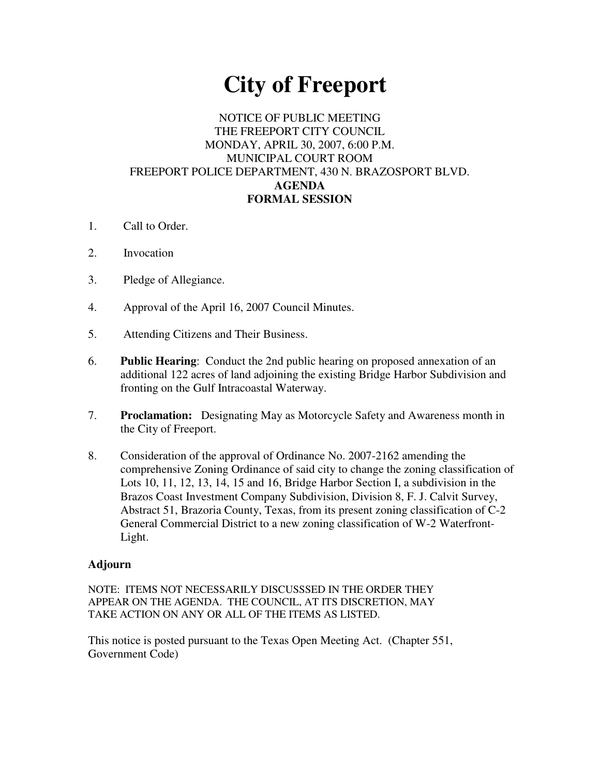## **City of Freeport**

## NOTICE OF PUBLIC MEETING THE FREEPORT CITY COUNCIL MONDAY, APRIL 30, 2007, 6:00 P.M. MUNICIPAL COURT ROOM FREEPORT POLICE DEPARTMENT, 430 N. BRAZOSPORT BLVD. **AGENDA FORMAL SESSION**

- 1. Call to Order.
- 2. Invocation
- 3. Pledge of Allegiance.
- 4. Approval of the April 16, 2007 Council Minutes.
- 5. Attending Citizens and Their Business.
- 6. **Public Hearing**: Conduct the 2nd public hearing on proposed annexation of an additional 122 acres of land adjoining the existing Bridge Harbor Subdivision and fronting on the Gulf Intracoastal Waterway.
- 7. **Proclamation:** Designating May as Motorcycle Safety and Awareness month in the City of Freeport.
- 8. Consideration of the approval of Ordinance No. 2007-2162 amending the comprehensive Zoning Ordinance of said city to change the zoning classification of Lots 10, 11, 12, 13, 14, 15 and 16, Bridge Harbor Section I, a subdivision in the Brazos Coast Investment Company Subdivision, Division 8, F. J. Calvit Survey, Abstract 51, Brazoria County, Texas, from its present zoning classification of C-2 General Commercial District to a new zoning classification of W-2 Waterfront-Light.

## **Adjourn**

NOTE: ITEMS NOT NECESSARILY DISCUSSSED IN THE ORDER THEY APPEAR ON THE AGENDA. THE COUNCIL, AT ITS DISCRETION, MAY TAKE ACTION ON ANY OR ALL OF THE ITEMS AS LISTED.

This notice is posted pursuant to the Texas Open Meeting Act. (Chapter 551, Government Code)